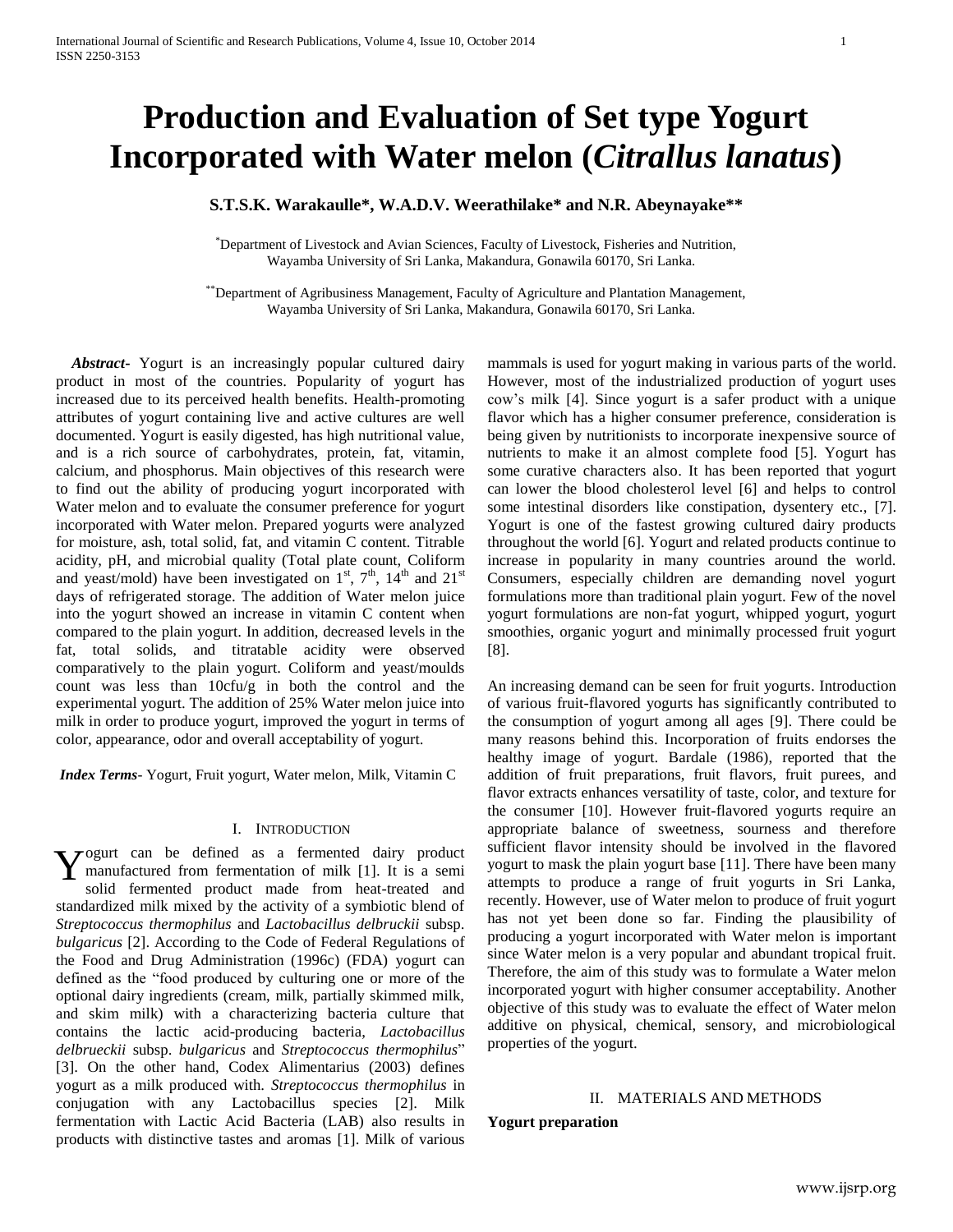# **Production and Evaluation of Set type Yogurt Incorporated with Water melon (***Citrallus lanatus***)**

# **S.T.S.K. Warakaulle\*, W.A.D.V. Weerathilake\* and N.R. Abeynayake\*\***

\*Department of Livestock and Avian Sciences, Faculty of Livestock, Fisheries and Nutrition, Wayamba University of Sri Lanka, Makandura, Gonawila 60170, Sri Lanka.

\*\*Department of Agribusiness Management, Faculty of Agriculture and Plantation Management, Wayamba University of Sri Lanka, Makandura, Gonawila 60170, Sri Lanka.

 *Abstract***-** Yogurt is an increasingly popular cultured dairy product in most of the countries. Popularity of yogurt has increased due to its perceived health benefits. Health-promoting attributes of yogurt containing live and active cultures are well documented. Yogurt is easily digested, has high nutritional value, and is a rich source of carbohydrates, protein, fat, vitamin, calcium, and phosphorus. Main objectives of this research were to find out the ability of producing yogurt incorporated with Water melon and to evaluate the consumer preference for yogurt incorporated with Water melon. Prepared yogurts were analyzed for moisture, ash, total solid, fat, and vitamin C content. Titrable acidity, pH, and microbial quality (Total plate count, Coliform and yeast/mold) have been investigated on  $1<sup>st</sup>$ ,  $7<sup>th</sup>$ ,  $14<sup>th</sup>$  and  $21<sup>st</sup>$ days of refrigerated storage. The addition of Water melon juice into the yogurt showed an increase in vitamin C content when compared to the plain yogurt. In addition, decreased levels in the fat, total solids, and titratable acidity were observed comparatively to the plain yogurt. Coliform and yeast/moulds count was less than 10cfu/g in both the control and the experimental yogurt. The addition of 25% Water melon juice into milk in order to produce yogurt, improved the yogurt in terms of color, appearance, odor and overall acceptability of yogurt.

*Index Terms*- Yogurt, Fruit yogurt, Water melon, Milk, Vitamin C

#### I. INTRODUCTION

 $\tau$  ogurt can be defined as a fermented dairy product Y ogurt can be defined as a fermented dairy product<br>manufactured from fermentation of milk [1]. It is a semi<br>solid fermented product mode from best treated and solid fermented product made from heat-treated and standardized milk mixed by the activity of a symbiotic blend of *Streptococcus thermophilus* and *Lactobacillus delbruckii* subsp. *bulgaricus* [2]. According to the Code of Federal Regulations of the Food and Drug Administration (1996c) (FDA) yogurt can defined as the "food produced by culturing one or more of the optional dairy ingredients (cream, milk, partially skimmed milk, and skim milk) with a characterizing bacteria culture that contains the lactic acid-producing bacteria, *Lactobacillus delbrueckii* subsp. *bulgaricus* and *Streptococcus thermophilus*" [3]. On the other hand, Codex Alimentarius (2003) defines yogurt as a milk produced with. *Streptococcus thermophilus* in conjugation with any Lactobacillus species [2]. Milk fermentation with Lactic Acid Bacteria (LAB) also results in products with distinctive tastes and aromas [1]. Milk of various

mammals is used for yogurt making in various parts of the world. However, most of the industrialized production of yogurt uses cow's milk [4]. Since yogurt is a safer product with a unique flavor which has a higher consumer preference, consideration is being given by nutritionists to incorporate inexpensive source of nutrients to make it an almost complete food [5]. Yogurt has some curative characters also. It has been reported that yogurt can lower the blood cholesterol level [6] and helps to control some intestinal disorders like constipation, dysentery etc., [7]. Yogurt is one of the fastest growing cultured dairy products throughout the world [6]. Yogurt and related products continue to increase in popularity in many countries around the world. Consumers, especially children are demanding novel yogurt formulations more than traditional plain yogurt. Few of the novel yogurt formulations are non-fat yogurt, whipped yogurt, yogurt smoothies, organic yogurt and minimally processed fruit yogurt [8].

An increasing demand can be seen for fruit yogurts. Introduction of various fruit-flavored yogurts has significantly contributed to the consumption of yogurt among all ages [9]. There could be many reasons behind this. Incorporation of fruits endorses the healthy image of yogurt. Bardale (1986), reported that the addition of fruit preparations, fruit flavors, fruit purees, and flavor extracts enhances versatility of taste, color, and texture for the consumer [10]. However fruit-flavored yogurts require an appropriate balance of sweetness, sourness and therefore sufficient flavor intensity should be involved in the flavored yogurt to mask the plain yogurt base [11]. There have been many attempts to produce a range of fruit yogurts in Sri Lanka, recently. However, use of Water melon to produce of fruit yogurt has not yet been done so far. Finding the plausibility of producing a yogurt incorporated with Water melon is important since Water melon is a very popular and abundant tropical fruit. Therefore, the aim of this study was to formulate a Water melon incorporated yogurt with higher consumer acceptability. Another objective of this study was to evaluate the effect of Water melon additive on physical, chemical, sensory, and microbiological properties of the yogurt.

# II. MATERIALS AND METHODS

**Yogurt preparation**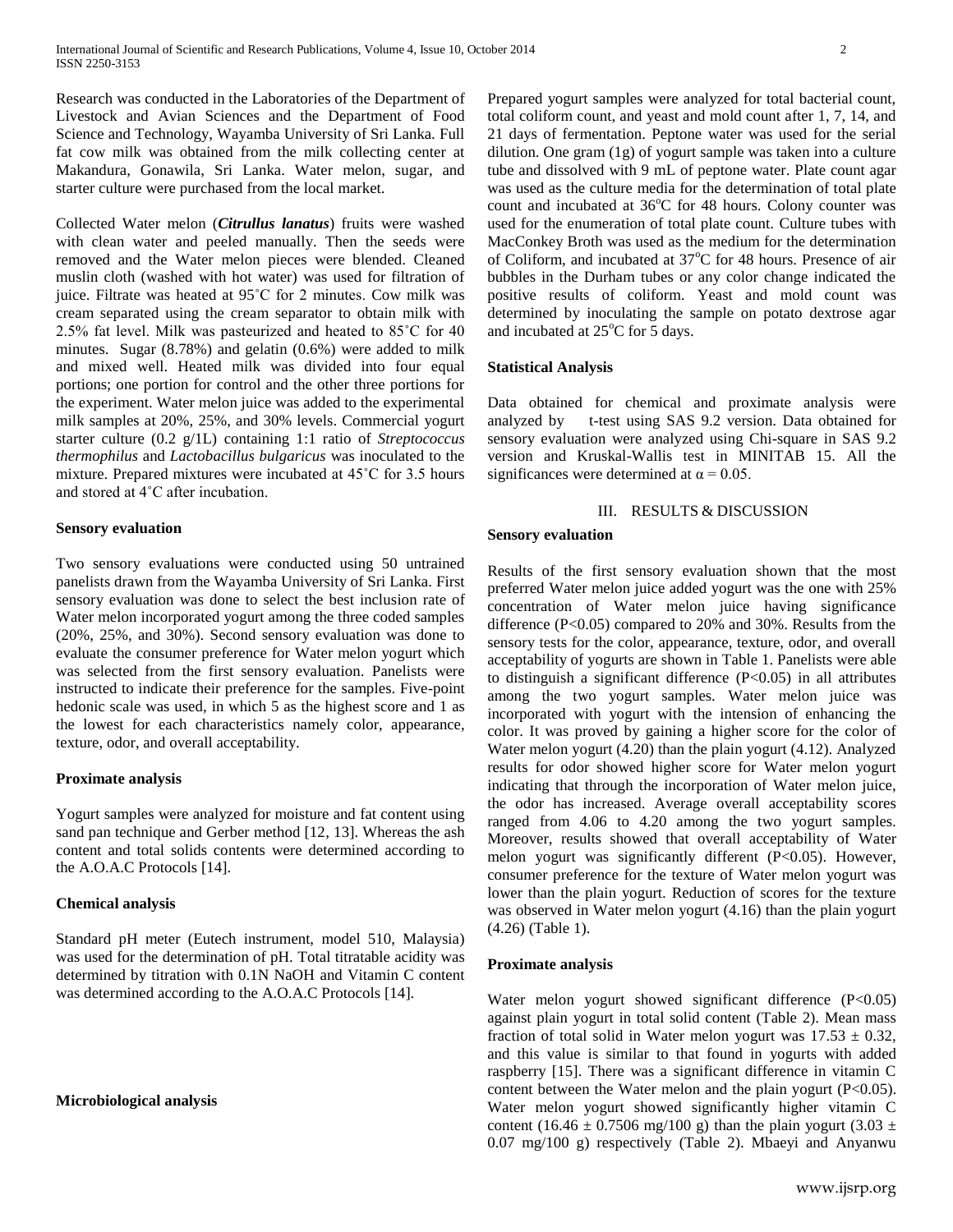Research was conducted in the Laboratories of the Department of Livestock and Avian Sciences and the Department of Food Science and Technology, Wayamba University of Sri Lanka. Full fat cow milk was obtained from the milk collecting center at Makandura, Gonawila, Sri Lanka. Water melon, sugar, and starter culture were purchased from the local market.

Collected Water melon (*Citrullus lanatus*) fruits were washed with clean water and peeled manually. Then the seeds were removed and the Water melon pieces were blended. Cleaned muslin cloth (washed with hot water) was used for filtration of juice. Filtrate was heated at 95˚C for 2 minutes. Cow milk was cream separated using the cream separator to obtain milk with 2.5% fat level. Milk was pasteurized and heated to 85˚C for 40 minutes. Sugar (8.78%) and gelatin (0.6%) were added to milk and mixed well. Heated milk was divided into four equal portions; one portion for control and the other three portions for the experiment. Water melon juice was added to the experimental milk samples at 20%, 25%, and 30% levels. Commercial yogurt starter culture (0.2 g/1L) containing 1:1 ratio of *Streptococcus thermophilus* and *Lactobacillus bulgaricus* was inoculated to the mixture. Prepared mixtures were incubated at 45˚C for 3.5 hours and stored at 4˚C after incubation.

#### **Sensory evaluation**

Two sensory evaluations were conducted using 50 untrained panelists drawn from the Wayamba University of Sri Lanka. First sensory evaluation was done to select the best inclusion rate of Water melon incorporated yogurt among the three coded samples (20%, 25%, and 30%). Second sensory evaluation was done to evaluate the consumer preference for Water melon yogurt which was selected from the first sensory evaluation. Panelists were instructed to indicate their preference for the samples. Five-point hedonic scale was used, in which 5 as the highest score and 1 as the lowest for each characteristics namely color, appearance, texture, odor, and overall acceptability.

## **Proximate analysis**

Yogurt samples were analyzed for moisture and fat content using sand pan technique and Gerber method [12, 13]. Whereas the ash content and total solids contents were determined according to the A.O.A.C Protocols [14].

## **Chemical analysis**

Standard pH meter (Eutech instrument, model 510, Malaysia) was used for the determination of pH. Total titratable acidity was determined by titration with 0.1N NaOH and Vitamin C content was determined according to the A.O.A.C Protocols [14].

## **Microbiological analysis**

Prepared yogurt samples were analyzed for total bacterial count, total coliform count, and yeast and mold count after 1, 7, 14, and 21 days of fermentation. Peptone water was used for the serial dilution. One gram (1g) of yogurt sample was taken into a culture tube and dissolved with 9 mL of peptone water. Plate count agar was used as the culture media for the determination of total plate count and incubated at  $36^{\circ}$ C for 48 hours. Colony counter was used for the enumeration of total plate count. Culture tubes with MacConkey Broth was used as the medium for the determination of Coliform, and incubated at 37°C for 48 hours. Presence of air bubbles in the Durham tubes or any color change indicated the positive results of coliform. Yeast and mold count was determined by inoculating the sample on potato dextrose agar and incubated at  $25^{\circ}$ C for 5 days.

## **Statistical Analysis**

Data obtained for chemical and proximate analysis were analyzed by t-test using SAS 9.2 version. Data obtained for sensory evaluation were analyzed using Chi-square in SAS 9.2 version and Kruskal-Wallis test in MINITAB 15. All the significances were determined at  $\alpha = 0.05$ .

## III. RESULTS & DISCUSSION

# **Sensory evaluation**

Results of the first sensory evaluation shown that the most preferred Water melon juice added yogurt was the one with 25% concentration of Water melon juice having significance difference (P<0.05) compared to 20% and 30%. Results from the sensory tests for the color, appearance, texture, odor, and overall acceptability of yogurts are shown in Table 1. Panelists were able to distinguish a significant difference  $(P<0.05)$  in all attributes among the two yogurt samples. Water melon juice was incorporated with yogurt with the intension of enhancing the color. It was proved by gaining a higher score for the color of Water melon yogurt (4.20) than the plain yogurt (4.12). Analyzed results for odor showed higher score for Water melon yogurt indicating that through the incorporation of Water melon juice, the odor has increased. Average overall acceptability scores ranged from 4.06 to 4.20 among the two yogurt samples. Moreover, results showed that overall acceptability of Water melon yogurt was significantly different (P<0.05). However, consumer preference for the texture of Water melon yogurt was lower than the plain yogurt. Reduction of scores for the texture was observed in Water melon yogurt (4.16) than the plain yogurt (4.26) (Table 1).

## **Proximate analysis**

Water melon yogurt showed significant difference (P<0.05) against plain yogurt in total solid content (Table 2). Mean mass fraction of total solid in Water melon yogurt was  $17.53 \pm 0.32$ , and this value is similar to that found in yogurts with added raspberry [15]. There was a significant difference in vitamin C content between the Water melon and the plain yogurt (P<0.05). Water melon yogurt showed significantly higher vitamin C content (16.46  $\pm$  0.7506 mg/100 g) than the plain yogurt (3.03  $\pm$ 0.07 mg/100 g) respectively (Table 2). Mbaeyi and Anyanwu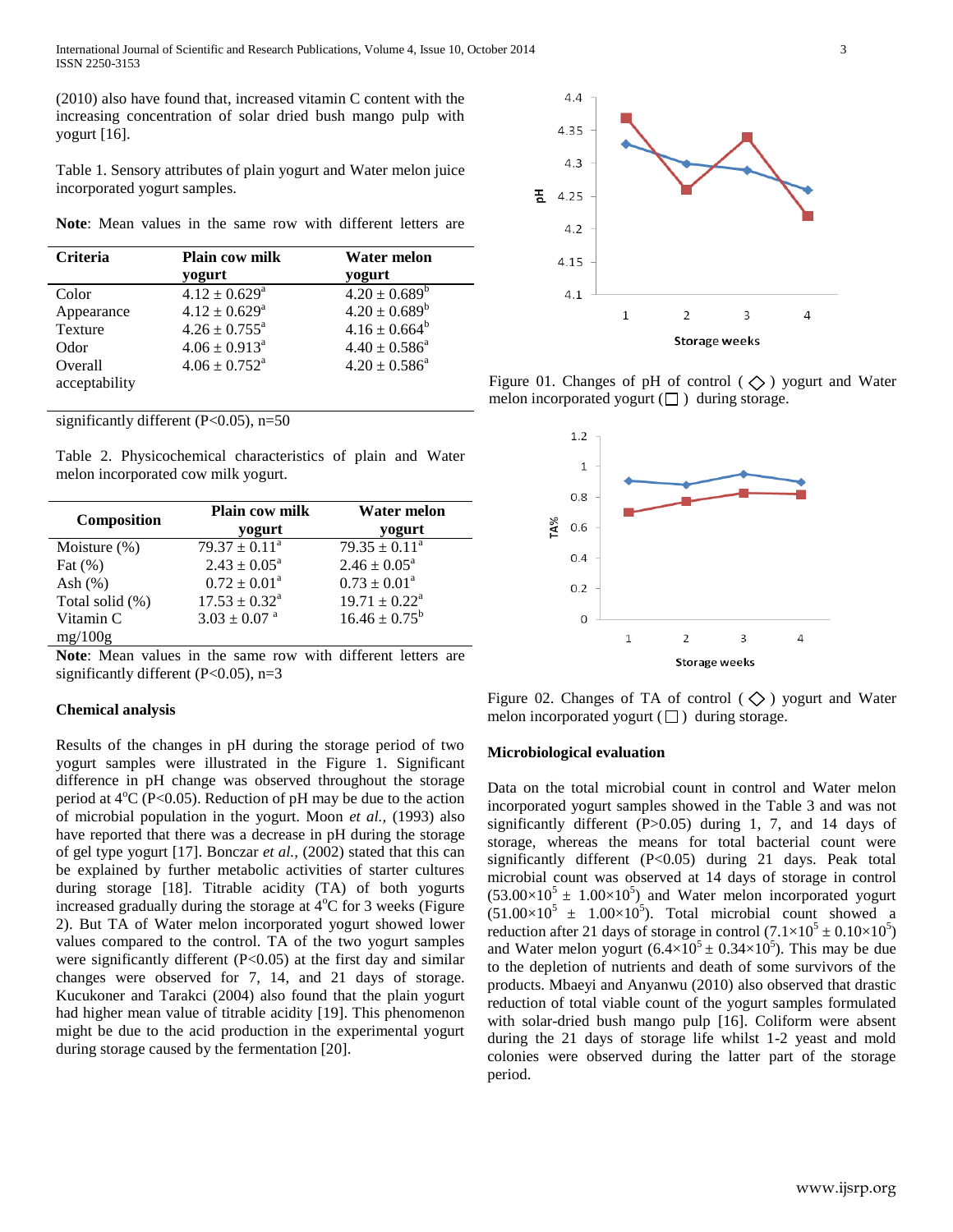(2010) also have found that, increased vitamin C content with the increasing concentration of solar dried bush mango pulp with yogurt [16].

Table 1. Sensory attributes of plain yogurt and Water melon juice incorporated yogurt samples.

**Note**: Mean values in the same row with different letters are

| <b>Criteria</b> | <b>Plain cow milk</b>         | <b>Water melon</b>       |  |
|-----------------|-------------------------------|--------------------------|--|
|                 | yogurt                        | yogurt                   |  |
| Color           | $4.12 \pm 0.629^a$            | $4.20 \pm 0.689^b$       |  |
| Appearance      | $4.12 \pm 0.629^a$            | $4.20 \pm 0.689^b$       |  |
| Texture         | $4.26 \pm 0.755^{\text{a}}$   | $4.16 \pm 0.664^b$       |  |
| Odor            | $4.06 \pm 0.913^a$            | $4.40 \pm 0.586^{\circ}$ |  |
| Overall         | $4.06 \pm 0.752$ <sup>a</sup> | $4.20 \pm 0.586^a$       |  |
| acceptability   |                               |                          |  |

significantly different  $(P<0.05)$ , n=50

Table 2. Physicochemical characteristics of plain and Water melon incorporated cow milk yogurt.

| Composition     | <b>Plain cow milk</b><br>yogurt | <b>Water melon</b><br>yogurt |  |
|-----------------|---------------------------------|------------------------------|--|
| Moisture $(\%)$ | $79.37 \pm 0.11^a$              | $79.35 \pm 0.11^a$           |  |
| Fat $(\%)$      | $2.43 \pm 0.05^{\circ}$         | $2.46 \pm 0.05^{\text{a}}$   |  |
| Ash $(\%)$      | $0.72 \pm 0.01^{\text{a}}$      | $0.73 \pm 0.01^a$            |  |
| Total solid (%) | $17.53 \pm 0.32^{\text{a}}$     | $19.71 \pm 0.22^{\text{a}}$  |  |
| Vitamin C       | $3.03 \pm 0.07$ <sup>a</sup>    | $16.46 \pm 0.75^b$           |  |
| mg/100g         |                                 |                              |  |

**Note**: Mean values in the same row with different letters are significantly different ( $P<0.05$ ), n=3

#### **Chemical analysis**

Results of the changes in pH during the storage period of two yogurt samples were illustrated in the Figure 1. Significant difference in pH change was observed throughout the storage period at  $4^{\circ}$ C (P<0.05). Reduction of pH may be due to the action of microbial population in the yogurt. Moon *et al.,* (1993) also have reported that there was a decrease in pH during the storage of gel type yogurt [17]. Bonczar *et al.,* (2002) stated that this can be explained by further metabolic activities of starter cultures during storage [18]. Titrable acidity (TA) of both yogurts increased gradually during the storage at  $4^{\circ}$ C for 3 weeks (Figure 2). But TA of Water melon incorporated yogurt showed lower values compared to the control. TA of the two yogurt samples were significantly different  $(P<0.05)$  at the first day and similar changes were observed for 7, 14, and 21 days of storage. Kucukoner and Tarakci (2004) also found that the plain yogurt had higher mean value of titrable acidity [19]. This phenomenon might be due to the acid production in the experimental yogurt during storage caused by the fermentation [20].



Figure 01. Changes of pH of control ( $\Diamond$ ) yogurt and Water melon incorporated yogurt  $(\Box)$  during storage.



Figure 02. Changes of TA of control ( $\diamondsuit$ ) yogurt and Water melon incorporated yogurt  $(\Box)$  during storage.

## **Microbiological evaluation**

Data on the total microbial count in control and Water melon incorporated yogurt samples showed in the Table 3 and was not significantly different  $(P>0.05)$  during 1, 7, and 14 days of storage, whereas the means for total bacterial count were significantly different (P<0.05) during 21 days. Peak total microbial count was observed at 14 days of storage in control  $(53.00\times10^{5} \pm 1.00\times10^{5})$  and Water melon incorporated yogurt  $(51.00\times10^{5} \pm 1.00\times10^{5})$ . Total microbial count showed a reduction after 21 days of storage in control  $(7.1 \times 10^5 \pm 0.10 \times 10^5)$ and Water melon yogurt  $(6.4 \times 10^5 \pm 0.34 \times 10^5)$ . This may be due to the depletion of nutrients and death of some survivors of the products. Mbaeyi and Anyanwu (2010) also observed that drastic reduction of total viable count of the yogurt samples formulated with solar-dried bush mango pulp [16]. Coliform were absent during the 21 days of storage life whilst 1-2 yeast and mold colonies were observed during the latter part of the storage period.